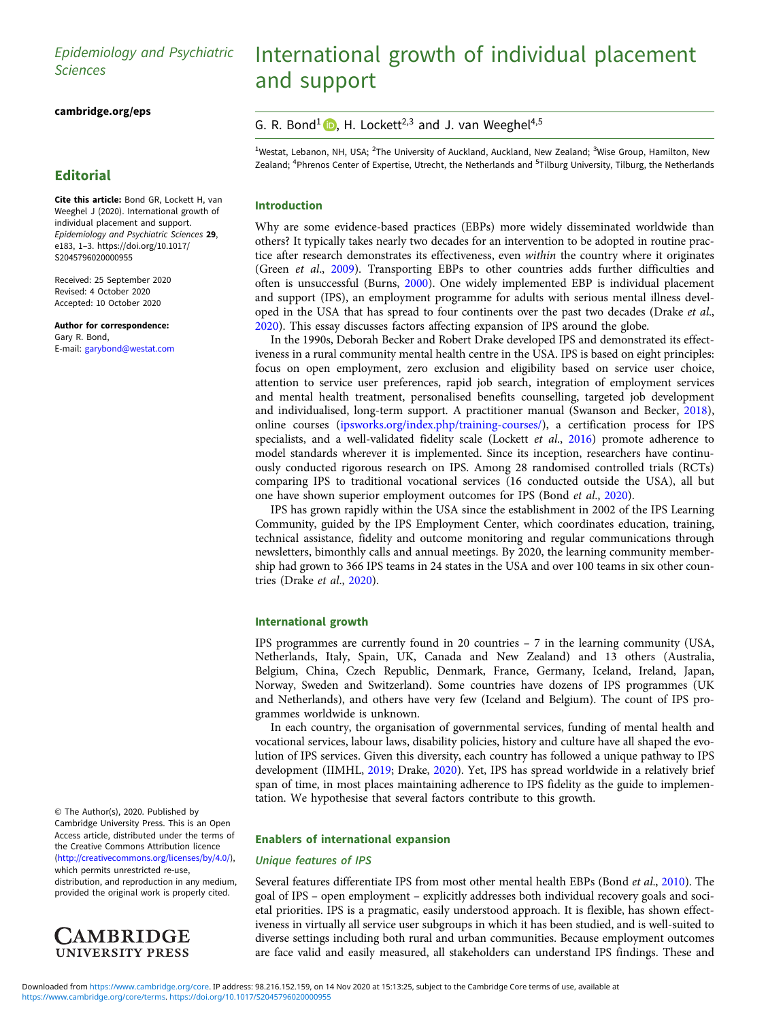# Epidemiology and Psychiatric Sciences

[cambridge.org/eps](https://www.cambridge.org/eps)

# **Editorial**

Cite this article: Bond GR, Lockett H, van Weeghel J (2020). International growth of individual placement and support. Epidemiology and Psychiatric Sciences 29, e183, 1–3. [https://doi.org/10.1017/](https://doi.org/10.1017/S2045796020000955) [S2045796020000955](https://doi.org/10.1017/S2045796020000955)

Received: 25 September 2020 Revised: 4 October 2020 Accepted: 10 October 2020

Author for correspondence: Gary R. Bond, E-mail: [garybond@westat.com](mailto:garybond@westat.com)

© The Author(s), 2020. Published by Cambridge University Press. This is an Open Access article, distributed under the terms of the Creative Commons Attribution licence ([http://creativecommons.org/licenses/by/4.0/\)](http://creativecommons.org/licenses/by/4.0/),

which permits unrestricted re-use, distribution, and reproduction in any medium, provided the original work is properly cited.



# International growth of individual placement and support

## G. R. Bond<sup>1</sup>  $\bullet$ , H. Lockett<sup>2,3</sup> and J. van Weeghel<sup>4,5</sup>

<sup>1</sup>Westat, Lebanon, NH, USA; <sup>2</sup>The University of Auckland, Auckland, New Zealand; <sup>3</sup>Wise Group, Hamilton, New Zealand; <sup>4</sup>Phrenos Center of Expertise, Utrecht, the Netherlands and <sup>5</sup>Tilburg University, Tilburg, the Netherlands

## Introduction

Why are some evidence-based practices (EBPs) more widely disseminated worldwide than others? It typically takes nearly two decades for an intervention to be adopted in routine practice after research demonstrates its effectiveness, even within the country where it originates (Green et al., [2009\)](#page-2-0). Transporting EBPs to other countries adds further difficulties and often is unsuccessful (Burns, [2000](#page-2-0)). One widely implemented EBP is individual placement and support (IPS), an employment programme for adults with serious mental illness developed in the USA that has spread to four continents over the past two decades (Drake et al., [2020\)](#page-2-0). This essay discusses factors affecting expansion of IPS around the globe.

In the 1990s, Deborah Becker and Robert Drake developed IPS and demonstrated its effectiveness in a rural community mental health centre in the USA. IPS is based on eight principles: focus on open employment, zero exclusion and eligibility based on service user choice, attention to service user preferences, rapid job search, integration of employment services and mental health treatment, personalised benefits counselling, targeted job development and individualised, long-term support. A practitioner manual (Swanson and Becker, [2018](#page-2-0)), online courses ([ipsworks.org/index.php/training-courses/\)](http://ipsworks.org/index.php/training-courses/), a certification process for IPS specialists, and a well-validated fidelity scale (Lockett et al.,  $2016$ ) promote adherence to model standards wherever it is implemented. Since its inception, researchers have continuously conducted rigorous research on IPS. Among 28 randomised controlled trials (RCTs) comparing IPS to traditional vocational services (16 conducted outside the USA), all but one have shown superior employment outcomes for IPS (Bond et al., [2020](#page-2-0)).

IPS has grown rapidly within the USA since the establishment in 2002 of the IPS Learning Community, guided by the IPS Employment Center, which coordinates education, training, technical assistance, fidelity and outcome monitoring and regular communications through newsletters, bimonthly calls and annual meetings. By 2020, the learning community membership had grown to 366 IPS teams in 24 states in the USA and over 100 teams in six other countries (Drake et al., [2020](#page-2-0)).

## International growth

IPS programmes are currently found in 20 countries – 7 in the learning community (USA, Netherlands, Italy, Spain, UK, Canada and New Zealand) and 13 others (Australia, Belgium, China, Czech Republic, Denmark, France, Germany, Iceland, Ireland, Japan, Norway, Sweden and Switzerland). Some countries have dozens of IPS programmes (UK and Netherlands), and others have very few (Iceland and Belgium). The count of IPS programmes worldwide is unknown.

In each country, the organisation of governmental services, funding of mental health and vocational services, labour laws, disability policies, history and culture have all shaped the evolution of IPS services. Given this diversity, each country has followed a unique pathway to IPS development (IIMHL, [2019](#page-2-0); Drake, [2020](#page-2-0)). Yet, IPS has spread worldwide in a relatively brief span of time, in most places maintaining adherence to IPS fidelity as the guide to implementation. We hypothesise that several factors contribute to this growth.

#### Enablers of international expansion

#### Unique features of IPS

Several features differentiate IPS from most other mental health EBPs (Bond et al., [2010\)](#page-2-0). The goal of IPS – open employment – explicitly addresses both individual recovery goals and societal priorities. IPS is a pragmatic, easily understood approach. It is flexible, has shown effectiveness in virtually all service user subgroups in which it has been studied, and is well-suited to diverse settings including both rural and urban communities. Because employment outcomes are face valid and easily measured, all stakeholders can understand IPS findings. These and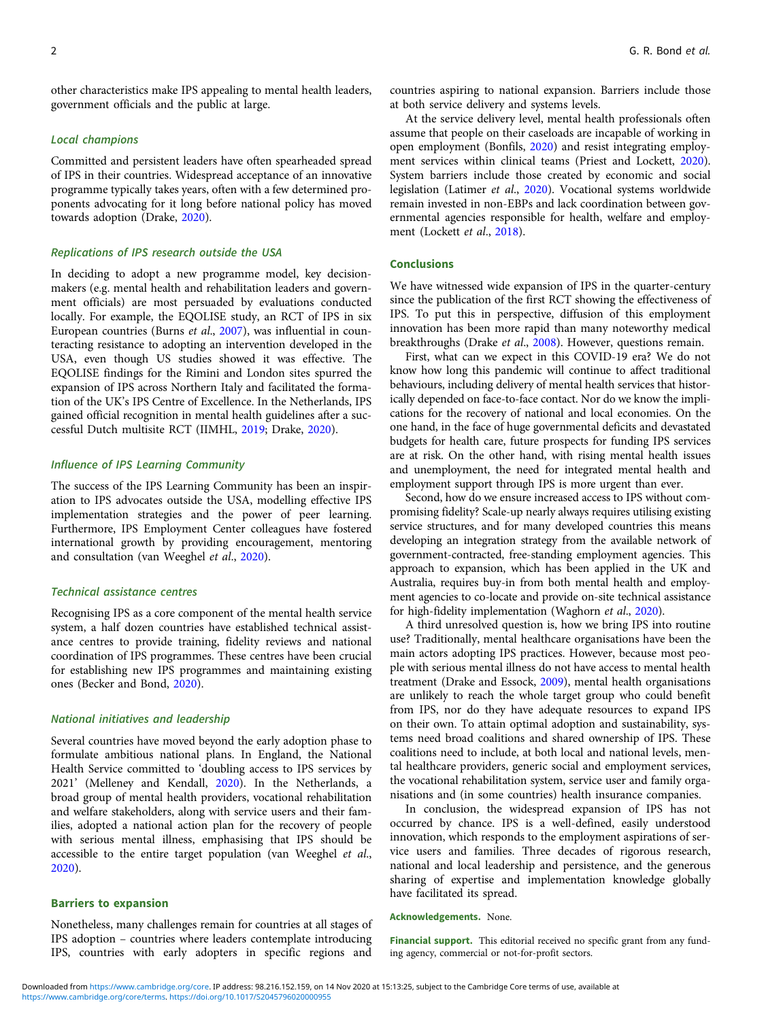other characteristics make IPS appealing to mental health leaders, government officials and the public at large.

#### Local champions

Committed and persistent leaders have often spearheaded spread of IPS in their countries. Widespread acceptance of an innovative programme typically takes years, often with a few determined proponents advocating for it long before national policy has moved towards adoption (Drake, [2020](#page-2-0)).

#### Replications of IPS research outside the USA

In deciding to adopt a new programme model, key decisionmakers (e.g. mental health and rehabilitation leaders and government officials) are most persuaded by evaluations conducted locally. For example, the EQOLISE study, an RCT of IPS in six European countries (Burns et al., [2007\)](#page-2-0), was influential in counteracting resistance to adopting an intervention developed in the USA, even though US studies showed it was effective. The EQOLISE findings for the Rimini and London sites spurred the expansion of IPS across Northern Italy and facilitated the formation of the UK's IPS Centre of Excellence. In the Netherlands, IPS gained official recognition in mental health guidelines after a successful Dutch multisite RCT (IIMHL, [2019](#page-2-0); Drake, [2020\)](#page-2-0).

#### Influence of IPS Learning Community

The success of the IPS Learning Community has been an inspiration to IPS advocates outside the USA, modelling effective IPS implementation strategies and the power of peer learning. Furthermore, IPS Employment Center colleagues have fostered international growth by providing encouragement, mentoring and consultation (van Weeghel et al., [2020](#page-2-0)).

#### Technical assistance centres

Recognising IPS as a core component of the mental health service system, a half dozen countries have established technical assistance centres to provide training, fidelity reviews and national coordination of IPS programmes. These centres have been crucial for establishing new IPS programmes and maintaining existing ones (Becker and Bond, [2020](#page-2-0)).

#### National initiatives and leadership

Several countries have moved beyond the early adoption phase to formulate ambitious national plans. In England, the National Health Service committed to 'doubling access to IPS services by 2021' (Melleney and Kendall, [2020](#page-2-0)). In the Netherlands, a broad group of mental health providers, vocational rehabilitation and welfare stakeholders, along with service users and their families, adopted a national action plan for the recovery of people with serious mental illness, emphasising that IPS should be accessible to the entire target population (van Weeghel et al., [2020\)](#page-2-0).

#### Barriers to expansion

Nonetheless, many challenges remain for countries at all stages of IPS adoption – countries where leaders contemplate introducing IPS, countries with early adopters in specific regions and

countries aspiring to national expansion. Barriers include those at both service delivery and systems levels.

At the service delivery level, mental health professionals often assume that people on their caseloads are incapable of working in open employment (Bonfils, [2020](#page-2-0)) and resist integrating employment services within clinical teams (Priest and Lockett, [2020](#page-2-0)). System barriers include those created by economic and social legislation (Latimer et al., [2020\)](#page-2-0). Vocational systems worldwide remain invested in non-EBPs and lack coordination between governmental agencies responsible for health, welfare and employ-ment (Lockett et al., [2018](#page-2-0)).

#### **Conclusions**

We have witnessed wide expansion of IPS in the quarter-century since the publication of the first RCT showing the effectiveness of IPS. To put this in perspective, diffusion of this employment innovation has been more rapid than many noteworthy medical breakthroughs (Drake et al., [2008\)](#page-2-0). However, questions remain.

First, what can we expect in this COVID-19 era? We do not know how long this pandemic will continue to affect traditional behaviours, including delivery of mental health services that historically depended on face-to-face contact. Nor do we know the implications for the recovery of national and local economies. On the one hand, in the face of huge governmental deficits and devastated budgets for health care, future prospects for funding IPS services are at risk. On the other hand, with rising mental health issues and unemployment, the need for integrated mental health and employment support through IPS is more urgent than ever.

Second, how do we ensure increased access to IPS without compromising fidelity? Scale-up nearly always requires utilising existing service structures, and for many developed countries this means developing an integration strategy from the available network of government-contracted, free-standing employment agencies. This approach to expansion, which has been applied in the UK and Australia, requires buy-in from both mental health and employment agencies to co-locate and provide on-site technical assistance for high-fidelity implementation (Waghorn et al., [2020\)](#page-2-0).

A third unresolved question is, how we bring IPS into routine use? Traditionally, mental healthcare organisations have been the main actors adopting IPS practices. However, because most people with serious mental illness do not have access to mental health treatment (Drake and Essock, [2009](#page-2-0)), mental health organisations are unlikely to reach the whole target group who could benefit from IPS, nor do they have adequate resources to expand IPS on their own. To attain optimal adoption and sustainability, systems need broad coalitions and shared ownership of IPS. These coalitions need to include, at both local and national levels, mental healthcare providers, generic social and employment services, the vocational rehabilitation system, service user and family organisations and (in some countries) health insurance companies.

In conclusion, the widespread expansion of IPS has not occurred by chance. IPS is a well-defined, easily understood innovation, which responds to the employment aspirations of service users and families. Three decades of rigorous research, national and local leadership and persistence, and the generous sharing of expertise and implementation knowledge globally have facilitated its spread.

#### Acknowledgements. None.

Financial support. This editorial received no specific grant from any funding agency, commercial or not-for-profit sectors.